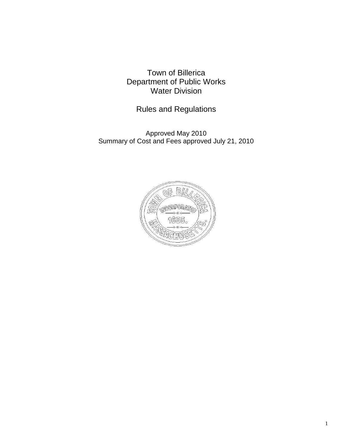Town of Billerica Department of Public Works Water Division

Rules and Regulations

Approved May 2010 Summary of Cost and Fees approved July 21, 2010

![](_page_0_Picture_3.jpeg)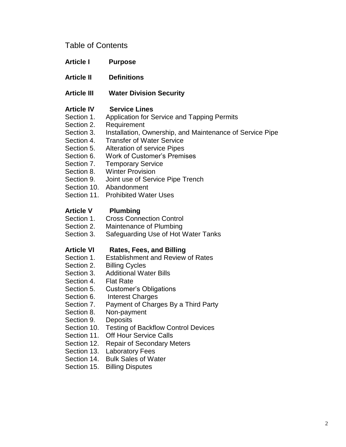# Table of Contents

- **Article I Purpose**
- **Article II Definitions**
- **Article III Water Division Security**

## **Article IV Service Lines**

- Section 1. Application for Service and Tapping Permits
- Section 2. Requirement
- Section 3. Installation, Ownership, and Maintenance of Service Pipe
- Section 4. Transfer of Water Service
- Section 5. Alteration of service Pipes
- Section 6. Work of Customer's Premises
- Section 7. Temporary Service
- Section 8. Winter Provision
- Section 9. Joint use of Service Pipe Trench
- Section 10. Abandonment
- Section 11. Prohibited Water Uses

## **Article V Plumbing**

- Section 1. Cross Connection Control
- Section 2. Maintenance of Plumbing
- Section 3. Safeguarding Use of Hot Water Tanks

## **Article VI Rates, Fees, and Billing**

- Section 1. Establishment and Review of Rates
- Section 2. Billing Cycles
- Section 3. Additional Water Bills
- Section 4. Flat Rate
- Section 5. Customer's Obligations
- Section 6. Interest Charges
- Section 7. Payment of Charges By a Third Party
- Section 8. Non-payment
- Section 9. Deposits
- Section 10. Testing of Backflow Control Devices
- Section 11. Off Hour Service Calls
- Section 12. Repair of Secondary Meters
- Section 13. Laboratory Fees
- Section 14. Bulk Sales of Water
- Section 15. Billing Disputes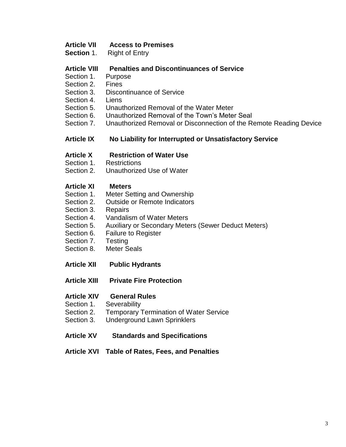## **Article VII Access to Premises**

**Section 1.** Right of Entry

## **Article VIII Penalties and Discontinuances of Service**

- Section 1. Purpose
- Section 2. Fines
- Section 3. Discontinuance of Service
- Section 4. Liens
- Section 5. Unauthorized Removal of the Water Meter
- Section 6. Unauthorized Removal of the Town's Meter Seal
- Section 7. Unauthorized Removal or Disconnection of the Remote Reading Device

### **Article IX No Liability for Interrupted or Unsatisfactory Service**

### **Article X Restriction of Water Use**

- Section 1. Restrictions
- Section 2. Unauthorized Use of Water

### **Article XI Meters**

- Section 1. Meter Setting and Ownership
- Section 2. Outside or Remote Indicators
- Section 3. Repairs
- Section 4. Vandalism of Water Meters
- Section 5. Auxiliary or Secondary Meters (Sewer Deduct Meters)
- Section 6. Failure to Register
- Section 7. Testing
- Section 8. Meter Seals
- **Article XII Public Hydrants**
- **Article XIII Private Fire Protection**
- **Article XIV General Rules**
- Section 1. Severability
- Section 2. Temporary Termination of Water Service
- Section 3. Underground Lawn Sprinklers
- **Article XV Standards and Specifications**
- **Article XVI Table of Rates, Fees, and Penalties**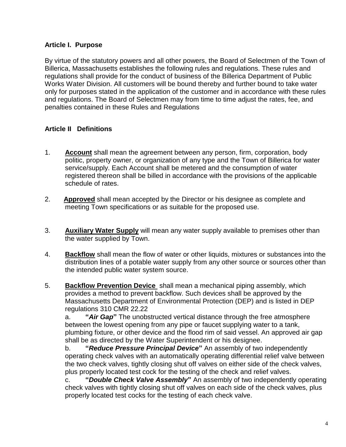## **Article I. Purpose**

By virtue of the statutory powers and all other powers, the Board of Selectmen of the Town of Billerica, Massachusetts establishes the following rules and regulations. These rules and regulations shall provide for the conduct of business of the Billerica Department of Public Works Water Division. All customers will be bound thereby and further bound to take water only for purposes stated in the application of the customer and in accordance with these rules and regulations. The Board of Selectmen may from time to time adjust the rates, fee, and penalties contained in these Rules and Regulations

# **Article II Definitions**

- 1. **Account** shall mean the agreement between any person, firm, corporation, body politic, property owner, or organization of any type and the Town of Billerica for water service/supply. Each Account shall be metered and the consumption of water registered thereon shall be billed in accordance with the provisions of the applicable schedule of rates.
- 2. **Approved** shall mean accepted by the Director or his designee as complete and meeting Town specifications or as suitable for the proposed use.
- 3. **Auxiliary Water Supply** will mean any water supply available to premises other than the water supplied by Town.
- 4. **Backflow** shall mean the flow of water or other liquids, mixtures or substances into the distribution lines of a potable water supply from any other source or sources other than the intended public water system source.
- 5. **Backflow Prevention Device** shall mean a mechanical piping assembly, which provides a method to prevent backflow. Such devices shall be approved by the Massachusetts Department of Environmental Protection (DEP) and is listed in DEP regulations 310 CMR 22.22

a. **"***Air Gap***"** The unobstructed vertical distance through the free atmosphere between the lowest opening from any pipe or faucet supplying water to a tank, plumbing fixture, or other device and the flood rim of said vessel. An approved air gap shall be as directed by the Water Superintendent or his designee.

b. **"***Reduce Pressure Principal Device***"** An assembly of two independently operating check valves with an automatically operating differential relief valve between the two check valves, tightly closing shut off valves on either side of the check valves, plus properly located test cock for the testing of the check and relief valves.

c. **"***Double Check Valve Assembly***"** An assembly of two independently operating check valves with tightly closing shut off valves on each side of the check valves, plus properly located test cocks for the testing of each check valve.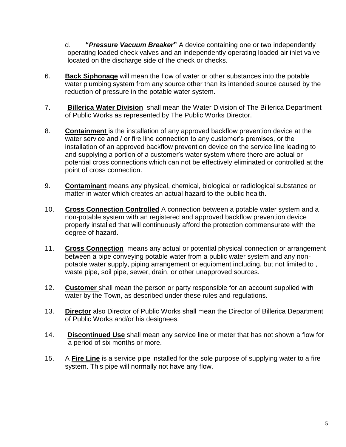d. **"***Pressure Vacuum Breaker***"** A device containing one or two independently operating loaded check valves and an independently operating loaded air inlet valve located on the discharge side of the check or checks.

- 6. **Back Siphonage** will mean the flow of water or other substances into the potable water plumbing system from any source other than its intended source caused by the reduction of pressure in the potable water system.
- 7. **Billerica Water Division** shall mean the Water Division of The Billerica Department of Public Works as represented by The Public Works Director.
- 8. **Containment** is the installation of any approved backflow prevention device at the water service and / or fire line connection to any customer's premises, or the installation of an approved backflow prevention device on the service line leading to and supplying a portion of a customer's water system where there are actual or potential cross connections which can not be effectively eliminated or controlled at the point of cross connection.
- 9. **Contaminant** means any physical, chemical, biological or radiological substance or matter in water which creates an actual hazard to the public health.
- 10. **Cross Connection Controlled** A connection between a potable water system and a non-potable system with an registered and approved backflow prevention device properly installed that will continuously afford the protection commensurate with the degree of hazard.
- 11. **Cross Connection** means any actual or potential physical connection or arrangement between a pipe conveying potable water from a public water system and any nonpotable water supply, piping arrangement or equipment including, but not limited to , waste pipe, soil pipe, sewer, drain, or other unapproved sources.
- 12. **Customer** shall mean the person or party responsible for an account supplied with water by the Town, as described under these rules and regulations.
- 13. **Director** also Director of Public Works shall mean the Director of Billerica Department of Public Works and/or his designees*.*
- 14. **Discontinued Use** shall mean any service line or meter that has not shown a flow for a period of six months or more.
- 15. A **Fire Line** is a service pipe installed for the sole purpose of supplying water to a fire system. This pipe will normally not have any flow.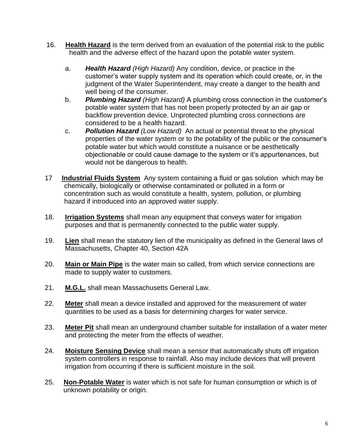- 16. **Health Hazard** is the term derived from an evaluation of the potential risk to the public health and the adverse effect of the hazard upon the potable water system.
	- a. *Health Hazard (High Hazard)* Any condition, device, or practice in the customer's water supply system and its operation which could create, or, in the judgment of the Water Superintendent, may create a danger to the health and well being of the consumer.
	- b. *Plumbing Hazard (High Hazard)* A plumbing cross connection in the customer's potable water system that has not been properly protected by an air gap or backflow prevention device. Unprotected plumbing cross connections are considered to be a health hazard.
	- c. *Pollution Hazard (Low Hazard)* An actual or potential threat to the physical properties of the water system or to the potability of the public or the consumer's potable water but which would constitute a nuisance or be aesthetically objectionable or could cause damage to the system or it's appurtenances, but would not be dangerous to health.
- 17 **Industrial Fluids System** Any system containing a fluid or gas solution which may be chemically, biologically or otherwise contaminated or polluted in a form or concentration such as would constitute a health, system, pollution, or plumbing hazard if introduced into an approved water supply.
- 18. **Irrigation Systems** shall mean any equipment that conveys water for irrigation purposes and that is permanently connected to the public water supply.
- 19. **Lien** shall mean the statutory lien of the municipality as defined in the General laws of Massachusetts, Chapter 40, Section 42A
- 20. **Main or Main Pipe** is the water main so called, from which service connections are made to supply water to customers.
- 21. **M.G.L.** shall mean Massachusetts General Law.
- 22. **Meter** shall mean a device installed and approved for the measurement of water quantities to be used as a basis for determining charges for water service.
- 23. **Meter Pit** shall mean an underground chamber suitable for installation of a water meter and protecting the meter from the effects of weather.
- 24. **Moisture Sensing Device** shall mean a sensor that automatically shuts off irrigation system controllers in response to rainfall. Also may include devices that will prevent irrigation from occurring if there is sufficient moisture in the soil.
- 25.**Non-Potable Water** is water which is not safe for human consumption or which is of unknown potability or origin.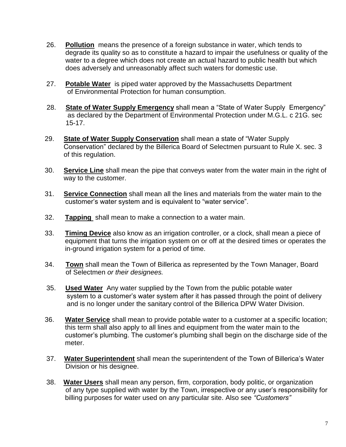- 26. **Pollution** means the presence of a foreign substance in water, which tends to degrade its quality so as to constitute a hazard to impair the usefulness or quality of the water to a degree which does not create an actual hazard to public health but which does adversely and unreasonably affect such waters for domestic use.
- 27.**Potable Water** is piped water approved by the Massachusetts Department of Environmental Protection for human consumption.
- 28. **State of Water Supply Emergency** shall mean a "State of Water Supply Emergency" as declared by the Department of Environmental Protection under M.G.L. c 21G. sec 15-17.
- 29. **State of Water Supply Conservation** shall mean a state of "Water Supply Conservation" declared by the Billerica Board of Selectmen pursuant to Rule X. sec. 3 of this regulation.
- 30. **Service Line** shall mean the pipe that conveys water from the water main in the right of way to the customer.
- 31. **Service Connection** shall mean all the lines and materials from the water main to the customer's water system and is equivalent to "water service".
- 32. **Tapping** shall mean to make a connection to a water main.
- 33. **Timing Device** also know as an irrigation controller, or a clock, shall mean a piece of equipment that turns the irrigation system on or off at the desired times or operates the in-ground irrigation system for a period of time.
- 34. **Town** shall mean the Town of Billerica as represented by the Town Manager, Board of Selectmen *or their designees.*
- 35. **Used Water** Any water supplied by the Town from the public potable water system to a customer's water system after it has passed through the point of delivery and is no longer under the sanitary control of the Billerica DPW Water Division.
- 36. **Water Service** shall mean to provide potable water to a customer at a specific location; this term shall also apply to all lines and equipment from the water main to the customer's plumbing. The customer's plumbing shall begin on the discharge side of the meter.
- 37. **Water Superintendent** shall mean the superintendent of the Town of Billerica's Water Division or his designee.
- 38. **Water Users** shall mean any person, firm, corporation, body politic, or organization of any type supplied with water by the Town, irrespective or any user's responsibility for billing purposes for water used on any particular site. Also see *"Customers"*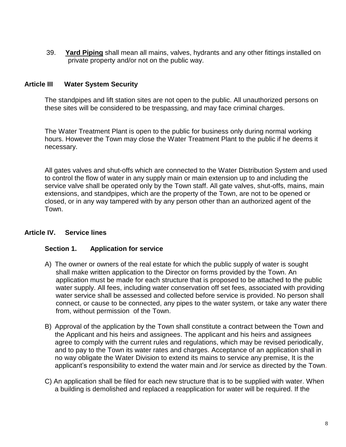39. **Yard Piping** shall mean all mains, valves, hydrants and any other fittings installed on private property and/or not on the public way.

### **Article III Water System Security**

The standpipes and lift station sites are not open to the public. All unauthorized persons on these sites will be considered to be trespassing, and may face criminal charges.

The Water Treatment Plant is open to the public for business only during normal working hours. However the Town may close the Water Treatment Plant to the public if he deems it necessary.

All gates valves and shut-offs which are connected to the Water Distribution System and used to control the flow of water in any supply main or main extension up to and including the service valve shall be operated only by the Town staff. All gate valves, shut-offs, mains, main extensions, and standpipes, which are the property of the Town, are not to be opened or closed, or in any way tampered with by any person other than an authorized agent of the Town.

## **Article IV. Service lines**

### **Section 1. Application for service**

- A) The owner or owners of the real estate for which the public supply of water is sought shall make written application to the Director on forms provided by the Town. An application must be made for each structure that is proposed to be attached to the public water supply. All fees, including water conservation off set fees, associated with providing water service shall be assessed and collected before service is provided. No person shall connect, or cause to be connected, any pipes to the water system, or take any water there from, without permission of the Town.
- B) Approval of the application by the Town shall constitute a contract between the Town and the Applicant and his heirs and assignees. The applicant and his heirs and assignees agree to comply with the current rules and regulations, which may be revised periodically, and to pay to the Town its water rates and charges. Acceptance of an application shall in no way obligate the Water Division to extend its mains to service any premise, It is the applicant's responsibility to extend the water main and /or service as directed by the Town.
- C) An application shall be filed for each new structure that is to be supplied with water. When a building is demolished and replaced a reapplication for water will be required. If the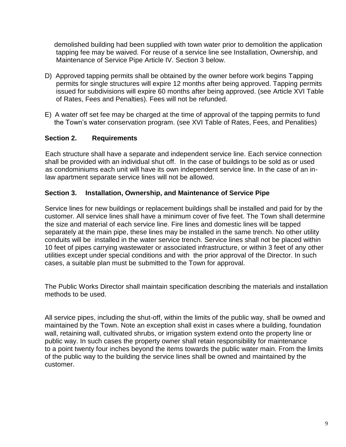demolished building had been supplied with town water prior to demolition the application tapping fee may be waived. For reuse of a service line see Installation, Ownership, and Maintenance of Service Pipe Article IV. Section 3 below.

- D) Approved tapping permits shall be obtained by the owner before work begins Tapping permits for single structures will expire 12 months after being approved. Tapping permits issued for subdivisions will expire 60 months after being approved. (see Article XVI Table of Rates, Fees and Penalties). Fees will not be refunded.
- E) A water off set fee may be charged at the time of approval of the tapping permits to fund the Town's water conservation program. (see XVI Table of Rates, Fees, and Penalities)

## **Section 2. Requirements**

 Each structure shall have a separate and independent service line. Each service connection shall be provided with an individual shut off. In the case of buildings to be sold as or used as condominiums each unit will have its own independent service line. In the case of an in law apartment separate service lines will not be allowed.

## **Section 3. Installation, Ownership, and Maintenance of Service Pipe**

Service lines for new buildings or replacement buildings shall be installed and paid for by the customer. All service lines shall have a minimum cover of five feet. The Town shall determine the size and material of each service line. Fire lines and domestic lines will be tapped separately at the main pipe, these lines may be installed in the same trench. No other utility conduits will be installed in the water service trench. Service lines shall not be placed within 10 feet of pipes carrying wastewater or associated infrastructure, or within 3 feet of any other utilities except under special conditions and with the prior approval of the Director. In such cases, a suitable plan must be submitted to the Town for approval.

The Public Works Director shall maintain specification describing the materials and installation methods to be used.

All service pipes, including the shut-off, within the limits of the public way, shall be owned and maintained by the Town. Note an exception shall exist in cases where a building, foundation wall, retaining wall, cultivated shrubs, or irrigation system extend onto the property line or public way. In such cases the property owner shall retain responsibility for maintenance to a point twenty four inches beyond the items towards the public water main. From the limits of the public way to the building the service lines shall be owned and maintained by the customer.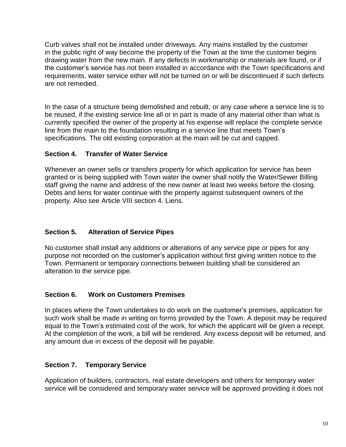Curb valves shall not be installed under driveways. Any mains installed by the customer in the public right of way become the property of the Town at the time the customer begins drawing water from the new main. If any defects in workmanship or materials are found, or if the customer's service has not been installed in accordance with the Town specifications and requirements, water service either will not be turned on or will be discontinued if such defects are not remedied.

In the case of a structure being demolished and rebuilt, or any case where a service line is to be reused, if the existing service line all or in part is made of any material other than what is currently specified the owner of the property at his expense will replace the complete service line from the main to the foundation resulting in a service line that meets Town's specifications. The old existing corporation at the main will be cut and capped.

# **Section 4. Transfer of Water Service**

Whenever an owner sells or transfers property for which application for service has been granted or is being supplied with Town water the owner shall notify the Water/Sewer Billing staff giving the name and address of the new owner at least two weeks before the closing. Debts and liens for water continue with the property against subsequent owners of the property. Also see Article VIII section 4. Liens.

# **Section 5. Alteration of Service Pipes**

No customer shall install any additions or alterations of any service pipe or pipes for any purpose not recorded on the customer's application without first giving written notice to the Town. Permanent or temporary connections between building shall be considered an alteration to the service pipe.

# **Section 6. Work on Customers Premises**

In places where the Town undertakes to do work on the customer's premises, application for such work shall be made in writing on forms provided by the Town. A deposit may be required equal to the Town's estimated cost of the work, for which the applicant will be given a receipt. At the completion of the work, a bill will be rendered. Any excess deposit will be returned, and any amount due in excess of the deposit will be payable.

# **Section 7. Temporary Service**

Application of builders, contractors, real estate developers and others for temporary water service will be considered and temporary water service will be approved providing it does not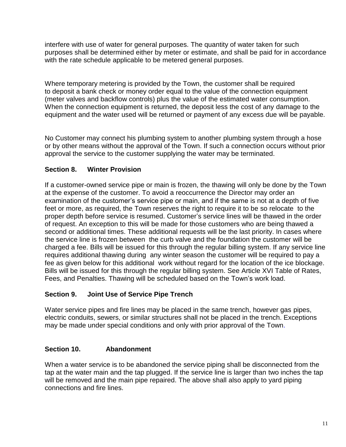interfere with use of water for general purposes. The quantity of water taken for such purposes shall be determined either by meter or estimate, and shall be paid for in accordance with the rate schedule applicable to be metered general purposes.

Where temporary metering is provided by the Town, the customer shall be required to deposit a bank check or money order equal to the value of the connection equipment (meter valves and backflow controls) plus the value of the estimated water consumption. When the connection equipment is returned, the deposit less the cost of any damage to the equipment and the water used will be returned or payment of any excess due will be payable.

No Customer may connect his plumbing system to another plumbing system through a hose or by other means without the approval of the Town. If such a connection occurs without prior approval the service to the customer supplying the water may be terminated.

# **Section 8. Winter Provision**

If a customer-owned service pipe or main is frozen, the thawing will only be done by the Town at the expense of the customer. To avoid a reoccurrence the Director may order an examination of the customer's service pipe or main, and if the same is not at a depth of five feet or more, as required, the Town reserves the right to require it to be so relocate to the proper depth before service is resumed. Customer's service lines will be thawed in the order of request. An exception to this will be made for those customers who are being thawed a second or additional times. These additional requests will be the last priority. In cases where the service line is frozen between the curb valve and the foundation the customer will be charged a fee. Bills will be issued for this through the regular billing system. If any service line requires additional thawing during any winter season the customer will be required to pay a fee as given below for this additional work without regard for the location of the ice blockage. Bills will be issued for this through the regular billing system. See Article XVI Table of Rates, Fees, and Penalties. Thawing will be scheduled based on the Town's work load.

## **Section 9. Joint Use of Service Pipe Trench**

Water service pipes and fire lines may be placed in the same trench, however gas pipes, electric conduits, sewers, or similar structures shall not be placed in the trench. Exceptions may be made under special conditions and only with prior approval of the Town.

## **Section 10. Abandonment**

When a water service is to be abandoned the service piping shall be disconnected from the tap at the water main and the tap plugged. If the service line is larger than two inches the tap will be removed and the main pipe repaired. The above shall also apply to yard piping connections and fire lines.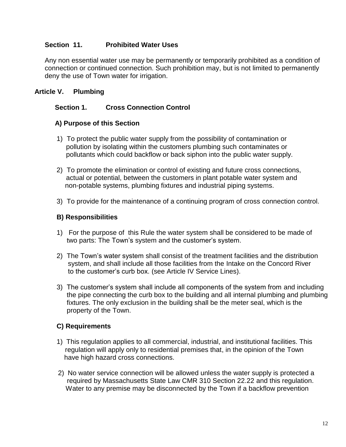## **Section 11. Prohibited Water Uses**

Any non essential water use may be permanently or temporarily prohibited as a condition of connection or continued connection. Such prohibition may, but is not limited to permanently deny the use of Town water for irrigation.

## **Article V. Plumbing**

## **Section 1. Cross Connection Control**

### **A) Purpose of this Section**

- 1) To protect the public water supply from the possibility of contamination or pollution by isolating within the customers plumbing such contaminates or pollutants which could backflow or back siphon into the public water supply.
- 2) To promote the elimination or control of existing and future cross connections, actual or potential, between the customers in plant potable water system and non-potable systems, plumbing fixtures and industrial piping systems.
- 3) To provide for the maintenance of a continuing program of cross connection control.

### **B) Responsibilities**

- 1) For the purpose of this Rule the water system shall be considered to be made of two parts: The Town's system and the customer's system.
- 2) The Town's water system shall consist of the treatment facilities and the distribution system, and shall include all those facilities from the Intake on the Concord River to the customer's curb box. (see Article IV Service Lines).
- 3) The customer's system shall include all components of the system from and including the pipe connecting the curb box to the building and all internal plumbing and plumbing fixtures. The only exclusion in the building shall be the meter seal, which is the property of the Town.

## **C) Requirements**

- 1) This regulation applies to all commercial, industrial, and institutional facilities. This regulation will apply only to residential premises that, in the opinion of the Town have high hazard cross connections.
- 2) No water service connection will be allowed unless the water supply is protected a required by Massachusetts State Law CMR 310 Section 22.22 and this regulation. Water to any premise may be disconnected by the Town if a backflow prevention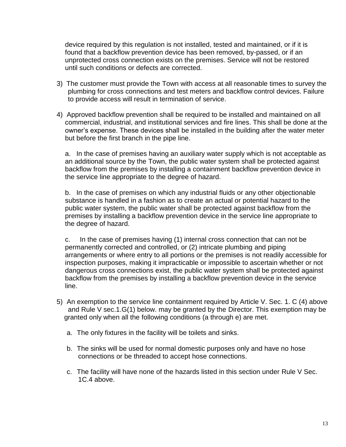device required by this regulation is not installed, tested and maintained, or if it is found that a backflow prevention device has been removed, by-passed, or if an unprotected cross connection exists on the premises. Service will not be restored until such conditions or defects are corrected.

- 3) The customer must provide the Town with access at all reasonable times to survey the plumbing for cross connections and test meters and backflow control devices. Failure to provide access will result in termination of service.
- 4) Approved backflow prevention shall be required to be installed and maintained on all commercial, industrial, and institutional services and fire lines. This shall be done at the owner's expense. These devices shall be installed in the building after the water meter but before the first branch in the pipe line.

a. In the case of premises having an auxiliary water supply which is not acceptable as an additional source by the Town, the public water system shall be protected against backflow from the premises by installing a containment backflow prevention device in the service line appropriate to the degree of hazard.

b. In the case of premises on which any industrial fluids or any other objectionable substance is handled in a fashion as to create an actual or potential hazard to the public water system, the public water shall be protected against backflow from the premises by installing a backflow prevention device in the service line appropriate to the degree of hazard.

c. In the case of premises having (1) internal cross connection that can not be permanently corrected and controlled, or (2) intricate plumbing and piping arrangements or where entry to all portions or the premises is not readily accessible for inspection purposes, making it impracticable or impossible to ascertain whether or not dangerous cross connections exist, the public water system shall be protected against backflow from the premises by installing a backflow prevention device in the service line.

- 5) An exemption to the service line containment required by Article V. Sec. 1. C (4) above and Rule V sec.1.G(1) below. may be granted by the Director. This exemption may be granted only when all the following conditions (a through e) are met.
	- a. The only fixtures in the facility will be toilets and sinks.
	- b. The sinks will be used for normal domestic purposes only and have no hose connections or be threaded to accept hose connections.
	- c. The facility will have none of the hazards listed in this section under Rule V Sec. 1C.4 above.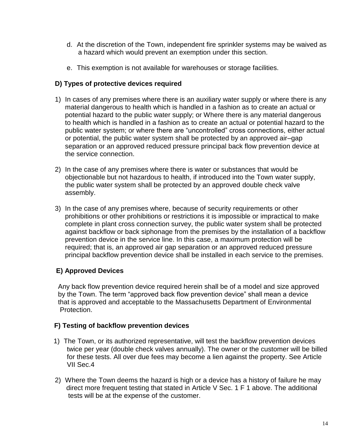- d. At the discretion of the Town, independent fire sprinkler systems may be waived as a hazard which would prevent an exemption under this section.
- e. This exemption is not available for warehouses or storage facilities.

## **D) Types of protective devices required**

- 1) In cases of any premises where there is an auxiliary water supply or where there is any material dangerous to health which is handled in a fashion as to create an actual or potential hazard to the public water supply; or Where there is any material dangerous to health which is handled in a fashion as to create an actual or potential hazard to the public water system; or where there are "uncontrolled" cross connections, either actual or potential, the public water system shall be protected by an approved air–gap separation or an approved reduced pressure principal back flow prevention device at the service connection.
- 2) In the case of any premises where there is water or substances that would be objectionable but not hazardous to health, if introduced into the Town water supply, the public water system shall be protected by an approved double check valve assembly.
- 3) In the case of any premises where, because of security requirements or other prohibitions or other prohibitions or restrictions it is impossible or impractical to make complete in plant cross connection survey, the public water system shall be protected against backflow or back siphonage from the premises by the installation of a backflow prevention device in the service line. In this case, a maximum protection will be required; that is, an approved air gap separation or an approved reduced pressure principal backflow prevention device shall be installed in each service to the premises.

# **E) Approved Devices**

 Any back flow prevention device required herein shall be of a model and size approved by the Town. The term "approved back flow prevention device" shall mean a device that is approved and acceptable to the Massachusetts Department of Environmental Protection.

## **F) Testing of backflow prevention devices**

- 1) The Town, or its authorized representative, will test the backflow prevention devices twice per year (double check valves annually). The owner or the customer will be billed for these tests. All over due fees may become a lien against the property. See Article VII Sec.4
- 2) Where the Town deems the hazard is high or a device has a history of failure he may direct more frequent testing that stated in Article V Sec. 1 F 1 above. The additional tests will be at the expense of the customer.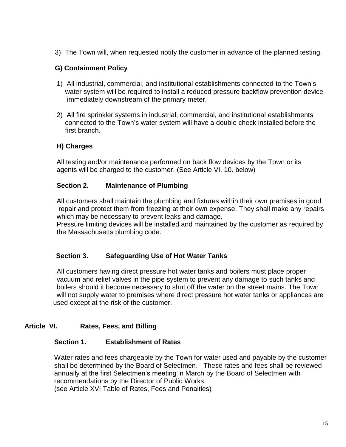3) The Town will, when requested notify the customer in advance of the planned testing.

## **G) Containment Policy**

- 1) All industrial, commercial, and institutional establishments connected to the Town's water system will be required to install a reduced pressure backflow prevention device immediately downstream of the primary meter.
- 2) All fire sprinkler systems in industrial, commercial, and institutional establishments connected to the Town's water system will have a double check installed before the first branch.

## **H) Charges**

All testing and/or maintenance performed on back flow devices by the Town or its agents will be charged to the customer. (See Article VI. 10. below)

#### **Section 2. Maintenance of Plumbing**

 All customers shall maintain the plumbing and fixtures within their own premises in good repair and protect them from freezing at their own expense. They shall make any repairs which may be necessary to prevent leaks and damage.

 Pressure limiting devices will be installed and maintained by the customer as required by the Massachusetts plumbing code.

### **Section 3. Safeguarding Use of Hot Water Tanks**

 All customers having direct pressure hot water tanks and boilers must place proper vacuum and relief valves in the pipe system to prevent any damage to such tanks and boilers should it become necessary to shut off the water on the street mains. The Town will not supply water to premises where direct pressure hot water tanks or appliances are used except at the risk of the customer.

## **Article VI. Rates, Fees, and Billing**

### **Section 1. Establishment of Rates**

 Water rates and fees chargeable by the Town for water used and payable by the customer shall be determined by the Board of Selectmen. These rates and fees shall be reviewed annually at the first Selectmen's meeting in March by the Board of Selectmen with recommendations by the Director of Public Works.

(see Article XVI Table of Rates, Fees and Penalties)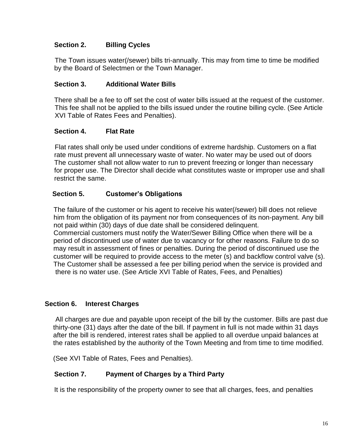## **Section 2. Billing Cycles**

 The Town issues water(/sewer) bills tri-annually. This may from time to time be modified by the Board of Selectmen or the Town Manager.

### **Section 3. Additional Water Bills**

There shall be a fee to off set the cost of water bills issued at the request of the customer. This fee shall not be applied to the bills issued under the routine billing cycle. (See Article XVI Table of Rates Fees and Penalties).

### **Section 4. Flat Rate**

Flat rates shall only be used under conditions of extreme hardship. Customers on a flat rate must prevent all unnecessary waste of water. No water may be used out of doors The customer shall not allow water to run to prevent freezing or longer than necessary for proper use. The Director shall decide what constitutes waste or improper use and shall restrict the same.

### **Section 5. Customer's Obligations**

 The failure of the customer or his agent to receive his water(/sewer) bill does not relieve him from the obligation of its payment nor from consequences of its non-payment. Any bill not paid within (30) days of due date shall be considered delinquent.

 Commercial customers must notify the Water/Sewer Billing Office when there will be a period of discontinued use of water due to vacancy or for other reasons. Failure to do so may result in assessment of fines or penalties. During the period of discontinued use the customer will be required to provide access to the meter (s) and backflow control valve (s). The Customer shall be assessed a fee per billing period when the service is provided and there is no water use. (See Article XVI Table of Rates, Fees, and Penalties)

### **Section 6. Interest Charges**

 All charges are due and payable upon receipt of the bill by the customer. Bills are past due thirty-one (31) days after the date of the bill. If payment in full is not made within 31 days after the bill is rendered, interest rates shall be applied to all overdue unpaid balances at the rates established by the authority of the Town Meeting and from time to time modified.

(See XVI Table of Rates, Fees and Penalties).

### **Section 7. Payment of Charges by a Third Party**

It is the responsibility of the property owner to see that all charges, fees, and penalties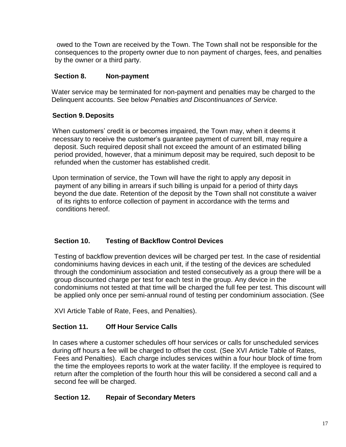owed to the Town are received by the Town. The Town shall not be responsible for the consequences to the property owner due to non payment of charges, fees, and penalties by the owner or a third party.

## **Section 8. Non-payment**

Water service may be terminated for non-payment and penalties may be charged to the Delinquent accounts. See below *Penalties and Discontinuances of Service.*

## **Section 9. Deposits**

 When customers' credit is or becomes impaired, the Town may, when it deems it necessary to receive the customer's guarantee payment of current bill, may require a deposit. Such required deposit shall not exceed the amount of an estimated billing period provided, however, that a minimum deposit may be required, such deposit to be refunded when the customer has established credit.

 Upon termination of service, the Town will have the right to apply any deposit in payment of any billing in arrears if such billing is unpaid for a period of thirty days beyond the due date. Retention of the deposit by the Town shall not constitute a waiver of its rights to enforce collection of payment in accordance with the terms and conditions hereof.

# **Section 10. Testing of Backflow Control Devices**

 Testing of backflow prevention devices will be charged per test. In the case of residential condominiums having devices in each unit, if the testing of the devices are scheduled through the condominium association and tested consecutively as a group there will be a group discounted charge per test for each test in the group. Any device in the condominiums not tested at that time will be charged the full fee per test. This discount will be applied only once per semi-annual round of testing per condominium association. (See

XVI Article Table of Rate, Fees, and Penalties).

## **Section 11. Off Hour Service Calls**

In cases where a customer schedules off hour services or calls for unscheduled services during off hours a fee will be charged to offset the cost. (See XVI Article Table of Rates, Fees and Penalties). Each charge includes services within a four hour block of time from the time the employees reports to work at the water facility. If the employee is required to return after the completion of the fourth hour this will be considered a second call and a second fee will be charged.

## **Section 12. Repair of Secondary Meters**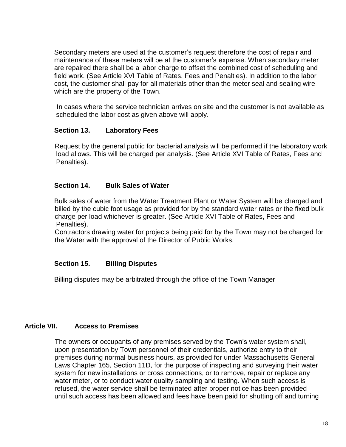Secondary meters are used at the customer's request therefore the cost of repair and maintenance of these meters will be at the customer's expense. When secondary meter are repaired there shall be a labor charge to offset the combined cost of scheduling and field work. (See Article XVI Table of Rates, Fees and Penalties). In addition to the labor cost, the customer shall pay for all materials other than the meter seal and sealing wire which are the property of the Town.

 In cases where the service technician arrives on site and the customer is not available as scheduled the labor cost as given above will apply.

### **Section 13. Laboratory Fees**

 Request by the general public for bacterial analysis will be performed if the laboratory work load allows. This will be charged per analysis. (See Article XVI Table of Rates, Fees and Penalties).

### **Section 14. Bulk Sales of Water**

 Bulk sales of water from the Water Treatment Plant or Water System will be charged and billed by the cubic foot usage as provided for by the standard water rates or the fixed bulk charge per load whichever is greater. (See Article XVI Table of Rates, Fees and Penalties).

 Contractors drawing water for projects being paid for by the Town may not be charged for the Water with the approval of the Director of Public Works.

## **Section 15. Billing Disputes**

Billing disputes may be arbitrated through the office of the Town Manager

## **Article VII. Access to Premises**

 The owners or occupants of any premises served by the Town's water system shall, upon presentation by Town personnel of their credentials, authorize entry to their premises during normal business hours, as provided for under Massachusetts General Laws Chapter 165, Section 11D, for the purpose of inspecting and surveying their water system for new installations or cross connections, or to remove, repair or replace any water meter, or to conduct water quality sampling and testing. When such access is refused, the water service shall be terminated after proper notice has been provided until such access has been allowed and fees have been paid for shutting off and turning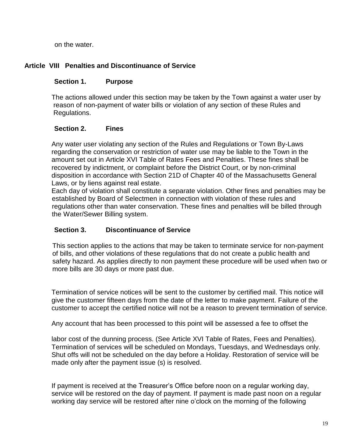on the water.

# **Article VIII Penalties and Discontinuance of Service**

## **Section 1. Purpose**

The actions allowed under this section may be taken by the Town against a water user by reason of non-payment of water bills or violation of any section of these Rules and Regulations.

## **Section 2. Fines**

Any water user violating any section of the Rules and Regulations or Town By-Laws regarding the conservation or restriction of water use may be liable to the Town in the amount set out in Article XVI Table of Rates Fees and Penalties. These fines shall be recovered by indictment, or complaint before the District Court, or by non-criminal disposition in accordance with Section 21D of Chapter 40 of the Massachusetts General Laws, or by liens against real estate.

Each day of violation shall constitute a separate violation. Other fines and penalties may be established by Board of Selectmen in connection with violation of these rules and regulations other than water conservation. These fines and penalties will be billed through the Water/Sewer Billing system.

## **Section 3. Discontinuance of Service**

 This section applies to the actions that may be taken to terminate service for non-payment of bills, and other violations of these regulations that do not create a public health and safety hazard. As applies directly to non payment these procedure will be used when two or more bills are 30 days or more past due.

Termination of service notices will be sent to the customer by certified mail. This notice will give the customer fifteen days from the date of the letter to make payment. Failure of the customer to accept the certified notice will not be a reason to prevent termination of service.

Any account that has been processed to this point will be assessed a fee to offset the

labor cost of the dunning process. (See Article XVI Table of Rates, Fees and Penalties). Termination of services will be scheduled on Mondays, Tuesdays, and Wednesdays only. Shut offs will not be scheduled on the day before a Holiday. Restoration of service will be made only after the payment issue (s) is resolved.

If payment is received at the Treasurer's Office before noon on a regular working day, service will be restored on the day of payment. If payment is made past noon on a regular working day service will be restored after nine o'clock on the morning of the following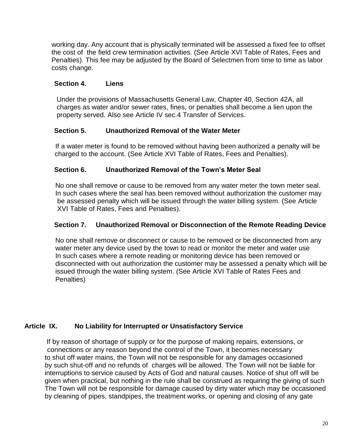working day. Any account that is physically terminated will be assessed a fixed fee to offset the cost of the field crew termination activities. (See Article XVI Table of Rates, Fees and Penalties). This fee may be adjusted by the Board of Selectmen from time to time as labor costs change.

## **Section 4. Liens**

 Under the provisions of Massachusetts General Law, Chapter 40, Section 42A, all charges as water and/or sewer rates, fines, or penalties shall become a lien upon the property served. Also see Article IV sec.4 Transfer of Services.

## **Section 5. Unauthorized Removal of the Water Meter**

 If a water meter is found to be removed without having been authorized a penalty will be charged to the account. (See Article XVI Table of Rates, Fees and Penalties).

# **Section 6. Unauthorized Removal of the Town's Meter Seal**

 No one shall remove or cause to be removed from any water meter the town meter seal. In such cases where the seal has been removed without authorization the customer may be assessed penalty which will be issued through the water billing system. (See Article XVI Table of Rates, Fees and Penalties).

# **Section 7. Unauthorized Removal or Disconnection of the Remote Reading Device**

 No one shall remove or disconnect or cause to be removed or be disconnected from any water meter any device used by the town to read or monitor the meter and water use In such cases where a remote reading or monitoring device has been removed or disconnected with out authorization the customer may be assessed a penalty which will be issued through the water billing system. (See Article XVI Table of Rates Fees and Penalties)

## **Article IX. No Liability for Interrupted or Unsatisfactory Service**

If by reason of shortage of supply or for the purpose of making repairs, extensions, or connections or any reason beyond the control of the Town, it becomes necessary to shut off water mains, the Town will not be responsible for any damages occasioned by such shut-off and no refunds of charges will be allowed. The Town will not be liable for interruptions to service caused by Acts of God and natural causes. Notice of shut off will be given when practical, but nothing in the rule shall be construed as requiring the giving of such The Town will not be responsible for damage caused by dirty water which may be occasioned by cleaning of pipes, standpipes, the treatment works, or opening and closing of any gate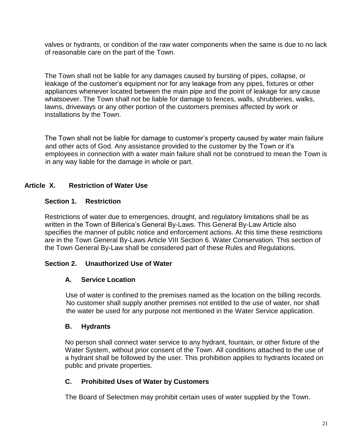valves or hydrants, or condition of the raw water components when the same is due to no lack of reasonable care on the part of the Town.

The Town shall not be liable for any damages caused by bursting of pipes, collapse, or leakage of the customer's equipment nor for any leakage from any pipes, fixtures or other appliances whenever located between the main pipe and the point of leakage for any cause whatsoever. The Town shall not be liable for damage to fences, walls, shrubberies, walks, lawns, driveways or any other portion of the customers premises affected by work or installations by the Town.

The Town shall not be liable for damage to customer's property caused by water main failure and other acts of God. Any assistance provided to the customer by the Town or it's employees in connection with a water main failure shall not be construed to mean the Town is in any way liable for the damage in whole or part.

# **Article X. Restriction of Water Use**

### **Section 1. Restriction**

Restrictions of water due to emergencies, drought, and regulatory limitations shall be as written in the Town of Billerica's General By-Laws. This General By-Law Article also specifies the manner of public notice and enforcement actions. At this time these restrictions are in the Town General By-Laws Article VIII Section 6. Water Conservation. This section of the Town General By-Law shall be considered part of these Rules and Regulations.

## **Section 2. Unauthorized Use of Water**

## **A. Service Location**

 Use of water is confined to the premises named as the location on the billing records. No customer shall supply another premises not entitled to the use of water, nor shall the water be used for any purpose not mentioned in the Water Service application.

### **B. Hydrants**

 No person shall connect water service to any hydrant, fountain, or other fixture of the Water System, without prior consent of the Town. All conditions attached to the use of a hydrant shall be followed by the user. This prohibition applies to hydrants located on public and private properties.

## **C. Prohibited Uses of Water by Customers**

The Board of Selectmen may prohibit certain uses of water supplied by the Town.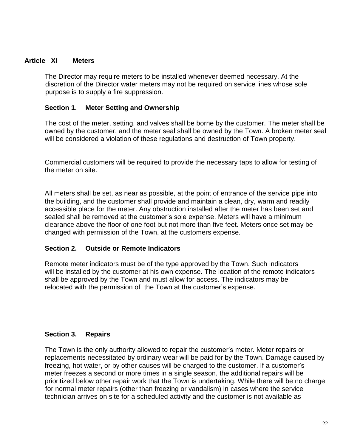#### **Article XI Meters**

The Director may require meters to be installed whenever deemed necessary. At the discretion of the Director water meters may not be required on service lines whose sole purpose is to supply a fire suppression.

#### **Section 1. Meter Setting and Ownership**

The cost of the meter, setting, and valves shall be borne by the customer. The meter shall be owned by the customer, and the meter seal shall be owned by the Town. A broken meter seal will be considered a violation of these regulations and destruction of Town property.

Commercial customers will be required to provide the necessary taps to allow for testing of the meter on site.

All meters shall be set, as near as possible, at the point of entrance of the service pipe into the building, and the customer shall provide and maintain a clean, dry, warm and readily accessible place for the meter. Any obstruction installed after the meter has been set and sealed shall be removed at the customer's sole expense. Meters will have a minimum clearance above the floor of one foot but not more than five feet. Meters once set may be changed with permission of the Town, at the customers expense.

#### **Section 2. Outside or Remote Indicators**

Remote meter indicators must be of the type approved by the Town. Such indicators will be installed by the customer at his own expense. The location of the remote indicators shall be approved by the Town and must allow for access. The indicators may be relocated with the permission of the Town at the customer's expense.

### **Section 3. Repairs**

The Town is the only authority allowed to repair the customer's meter. Meter repairs or replacements necessitated by ordinary wear will be paid for by the Town. Damage caused by freezing, hot water, or by other causes will be charged to the customer. If a customer's meter freezes a second or more times in a single season, the additional repairs will be prioritized below other repair work that the Town is undertaking. While there will be no charge for normal meter repairs (other than freezing or vandalism) in cases where the service technician arrives on site for a scheduled activity and the customer is not available as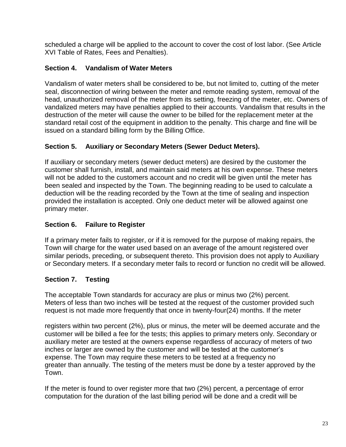scheduled a charge will be applied to the account to cover the cost of lost labor. (See Article XVI Table of Rates, Fees and Penalties).

# **Section 4. Vandalism of Water Meters**

Vandalism of water meters shall be considered to be, but not limited to, cutting of the meter seal, disconnection of wiring between the meter and remote reading system, removal of the head, unauthorized removal of the meter from its setting, freezing of the meter, etc. Owners of vandalized meters may have penalties applied to their accounts. Vandalism that results in the destruction of the meter will cause the owner to be billed for the replacement meter at the standard retail cost of the equipment in addition to the penalty. This charge and fine will be issued on a standard billing form by the Billing Office.

# **Section 5. Auxiliary or Secondary Meters (Sewer Deduct Meters).**

If auxiliary or secondary meters (sewer deduct meters) are desired by the customer the customer shall furnish, install, and maintain said meters at his own expense. These meters will not be added to the customers account and no credit will be given until the meter has been sealed and inspected by the Town. The beginning reading to be used to calculate a deduction will be the reading recorded by the Town at the time of sealing and inspection provided the installation is accepted. Only one deduct meter will be allowed against one primary meter.

# **Section 6. Failure to Register**

If a primary meter fails to register, or if it is removed for the purpose of making repairs, the Town will charge for the water used based on an average of the amount registered over similar periods, preceding, or subsequent thereto. This provision does not apply to Auxiliary or Secondary meters. If a secondary meter fails to record or function no credit will be allowed.

# **Section 7. Testing**

The acceptable Town standards for accuracy are plus or minus two (2%) percent. Meters of less than two inches will be tested at the request of the customer provided such request is not made more frequently that once in twenty-four(24) months. If the meter

registers within two percent (2%), plus or minus, the meter will be deemed accurate and the customer will be billed a fee for the tests; this applies to primary meters only. Secondary or auxiliary meter are tested at the owners expense regardless of accuracy of meters of two inches or larger are owned by the customer and will be tested at the customer's expense. The Town may require these meters to be tested at a frequency no greater than annually. The testing of the meters must be done by a tester approved by the Town.

If the meter is found to over register more that two (2%) percent, a percentage of error computation for the duration of the last billing period will be done and a credit will be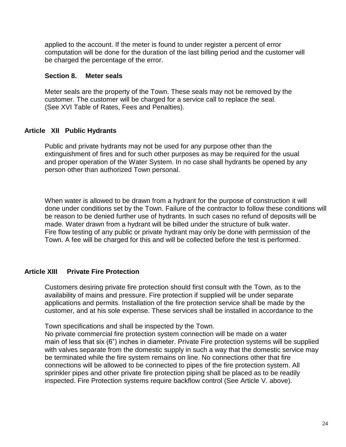applied to the account. If the meter is found to under register a percent of error computation will be done for the duration of the last billing period and the customer will be charged the percentage of the error.

#### **Section 8. Meter seals**

Meter seals are the property of the Town. These seals may not be removed by the customer. The customer will be charged for a service call to replace the seal. (See XVI Table of Rates, Fees and Penalties).

### **Article XII Public Hydrants**

Public and private hydrants may not be used for any purpose other than the extinguishment of fires and for such other purposes as may be required for the usual and proper operation of the Water System. In no case shall hydrants be opened by any person other than authorized Town personal.

When water is allowed to be drawn from a hydrant for the purpose of construction it will done under conditions set by the Town. Failure of the contractor to follow these conditions will be reason to be denied further use of hydrants. In such cases no refund of deposits will be made. Water drawn from a hydrant will be billed under the structure of bulk water. Fire flow testing of any public or private hydrant may only be done with permission of the Town. A fee will be charged for this and will be collected before the test is performed.

## **Article XIII Private Fire Protection**

Customers desiring private fire protection should first consult with the Town, as to the availability of mains and pressure. Fire protection if supplied will be under separate applications and permits. Installation of the fire protection service shall be made by the customer, and at his sole expense. These services shall be installed in accordance to the

Town specifications and shall be inspected by the Town.

No private commercial fire protection system connection will be made on a water main of less that six (6") inches in diameter. Private Fire protection systems will be supplied with valves separate from the domestic supply in such a way that the domestic service may be terminated while the fire system remains on line. No connections other that fire connections will be allowed to be connected to pipes of the fire protection system. All sprinkler pipes and other private fire protection piping shall be placed as to be readily inspected. Fire Protection systems require backflow control (See Article V. above).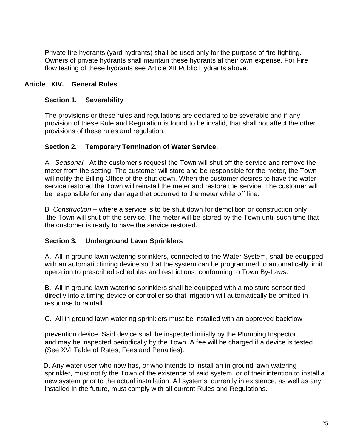Private fire hydrants (yard hydrants) shall be used only for the purpose of fire fighting. Owners of private hydrants shall maintain these hydrants at their own expense. For Fire flow testing of these hydrants see Article XII Public Hydrants above.

## **Article XIV. General Rules**

### **Section 1. Severability**

The provisions or these rules and regulations are declared to be severable and if any provision of these Rule and Regulation is found to be invalid, that shall not affect the other provisions of these rules and regulation.

### **Section 2. Temporary Termination of Water Service.**

A*. Seasonal* - At the customer's request the Town will shut off the service and remove the meter from the setting. The customer will store and be responsible for the meter, the Town will notify the Billing Office of the shut down. When the customer desires to have the water service restored the Town will reinstall the meter and restore the service. The customer will be responsible for any damage that occurred to the meter while off line.

B*. Construction* – where a service is to be shut down for demolition or construction only the Town will shut off the service. The meter will be stored by the Town until such time that the customer is ready to have the service restored.

## **Section 3. Underground Lawn Sprinklers**

A. All in ground lawn watering sprinklers, connected to the Water System, shall be equipped with an automatic timing device so that the system can be programmed to automatically limit operation to prescribed schedules and restrictions, conforming to Town By-Laws.

B. All in ground lawn watering sprinklers shall be equipped with a moisture sensor tied directly into a timing device or controller so that irrigation will automatically be omitted in response to rainfall.

C. All in ground lawn watering sprinklers must be installed with an approved backflow

prevention device. Said device shall be inspected initially by the Plumbing Inspector, and may be inspected periodically by the Town. A fee will be charged if a device is tested. (See XVI Table of Rates, Fees and Penalties).

 D. Any water user who now has, or who intends to install an in ground lawn watering sprinkler, must notify the Town of the existence of said system, or of their intention to install a new system prior to the actual installation. All systems, currently in existence, as well as any installed in the future, must comply with all current Rules and Regulations.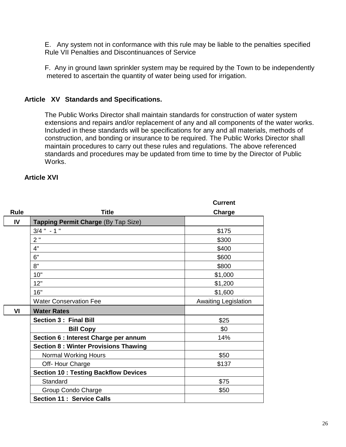E. Any system not in conformance with this rule may be liable to the penalties specified Rule VII Penalties and Discontinuances of Service

F. Any in ground lawn sprinkler system may be required by the Town to be independently metered to ascertain the quantity of water being used for irrigation.

### **Article XV Standards and Specifications.**

The Public Works Director shall maintain standards for construction of water system extensions and repairs and/or replacement of any and all components of the water works. Included in these standards will be specifications for any and all materials, methods of construction, and bonding or insurance to be required. The Public Works Director shall maintain procedures to carry out these rules and regulations. The above referenced standards and procedures may be updated from time to time by the Director of Public Works.

### **Article XVI**

|                |                                              | <b>Current</b>              |
|----------------|----------------------------------------------|-----------------------------|
| <b>Rule</b>    | <b>Title</b>                                 | Charge                      |
| IV             | Tapping Permit Charge (By Tap Size)          |                             |
|                | $3/4$ " - 1 "                                | \$175                       |
|                | 2"                                           | \$300                       |
|                | 4"                                           | \$400                       |
|                | 6"                                           | \$600                       |
|                | 8"                                           | \$800                       |
|                | 10"                                          | \$1,000                     |
|                | 12"                                          | \$1,200                     |
|                | 16"                                          | \$1,600                     |
|                | <b>Water Conservation Fee</b>                | <b>Awaiting Legislation</b> |
| V <sub>l</sub> | <b>Water Rates</b>                           |                             |
|                | <b>Section 3: Final Bill</b>                 | \$25                        |
|                | <b>Bill Copy</b>                             | \$0                         |
|                | Section 6 : Interest Charge per annum        | 14%                         |
|                | <b>Section 8: Winter Provisions Thawing</b>  |                             |
|                | <b>Normal Working Hours</b>                  | \$50                        |
|                | Off-Hour Charge                              | \$137                       |
|                | <b>Section 10 : Testing Backflow Devices</b> |                             |
|                | Standard                                     | \$75                        |
|                | Group Condo Charge                           | \$50                        |
|                | <b>Section 11: Service Calls</b>             |                             |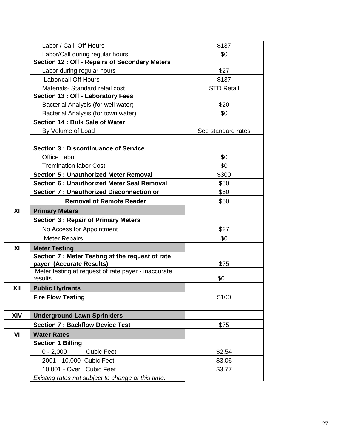|     | Labor / Call Off Hours                              | \$137              |
|-----|-----------------------------------------------------|--------------------|
|     | Labor/Call during regular hours                     | \$0                |
|     | Section 12 : Off - Repairs of Secondary Meters      |                    |
|     | Labor during regular hours                          | \$27               |
|     | Labor/call Off Hours                                | \$137              |
|     | Materials- Standard retail cost                     | <b>STD Retail</b>  |
|     | Section 13 : Off - Laboratory Fees                  |                    |
|     | Bacterial Analysis (for well water)                 | \$20               |
|     | Bacterial Analysis (for town water)                 | \$0                |
|     | Section 14 : Bulk Sale of Water                     |                    |
|     | By Volume of Load                                   | See standard rates |
|     |                                                     |                    |
|     | <b>Section 3: Discontinuance of Service</b>         |                    |
|     | <b>Office Labor</b>                                 | \$0                |
|     | <b>Tremination labor Cost</b>                       | \$0                |
|     | <b>Section 5: Unauthorized Meter Removal</b>        | \$300              |
|     | <b>Section 6: Unauthorized Meter Seal Removal</b>   | \$50               |
|     | <b>Section 7: Unauthorized Disconnection or</b>     | \$50               |
|     | <b>Removal of Remote Reader</b>                     | \$50               |
| XI  | <b>Primary Meters</b>                               |                    |
|     | <b>Section 3: Repair of Primary Meters</b>          |                    |
|     | No Access for Appointment                           | \$27               |
|     | <b>Meter Repairs</b>                                | \$0                |
| XI  | <b>Meter Testing</b>                                |                    |
|     | Section 7 : Meter Testing at the request of rate    |                    |
|     | payer (Accurate Results)                            | \$75               |
|     | Meter testing at request of rate payer - inaccurate |                    |
|     | results                                             | \$0                |
| XII | <b>Public Hydrants</b>                              |                    |
|     | <b>Fire Flow Testing</b>                            | \$100              |
|     |                                                     |                    |
| XIV | <b>Underground Lawn Sprinklers</b>                  |                    |
|     | <b>Section 7: Backflow Device Test</b>              | \$75               |
| VI  | <b>Water Rates</b>                                  |                    |
|     | <b>Section 1 Billing</b>                            |                    |
|     | $0 - 2,000$<br><b>Cubic Feet</b>                    | \$2.54             |
|     | 2001 - 10,000 Cubic Feet                            | \$3.06             |
|     | 10,001 - Over Cubic Feet                            | \$3.77             |
|     | Existing rates not subject to change at this time.  |                    |